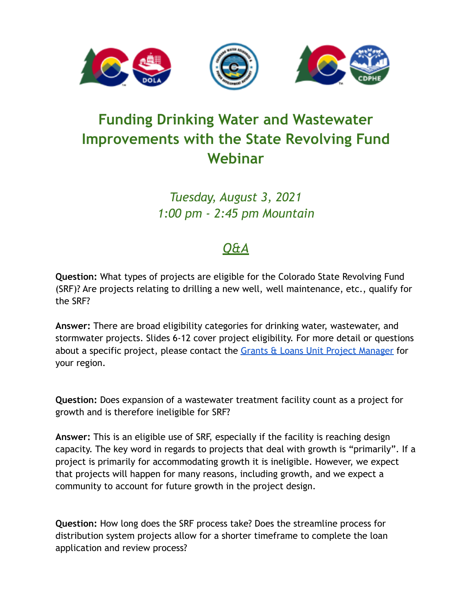

## **Funding Drinking Water and Wastewater Improvements with the State Revolving Fund Webinar**

*Tuesday, August 3, 2021 1:00 pm - 2:45 pm Mountain*

## *Q&A*

**Question:** What types of projects are eligible for the Colorado State Revolving Fund (SRF)? Are projects relating to drilling a new well, well maintenance, etc., qualify for the SRF?

**Answer:** There are broad eligibility categories for drinking water, wastewater, and stormwater projects. Slides 6-12 cover project eligibility. For more detail or questions about a specific project, please contact the Grants [& Loans Unit Project Manager](https://drive.google.com/file/d/1sgMNyANCinFoRZc7aI2NT5YhW-IN0tDq/view) for your region.

**Question:** Does expansion of a wastewater treatment facility count as a project for growth and is therefore ineligible for SRF?

**Answer:** This is an eligible use of SRF, especially if the facility is reaching design capacity. The key word in regards to projects that deal with growth is "primarily". If a project is primarily for accommodating growth it is ineligible. However, we expect that projects will happen for many reasons, including growth, and we expect a community to account for future growth in the project design.

**Question:** How long does the SRF process take? Does the streamline process for distribution system projects allow for a shorter timeframe to complete the loan application and review process?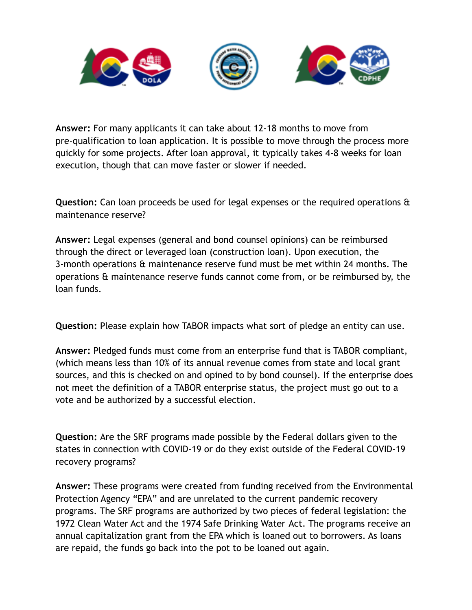

**Answer:** For many applicants it can take about 12-18 months to move from pre-qualification to loan application. It is possible to move through the process more quickly for some projects. After loan approval, it typically takes 4-8 weeks for loan execution, though that can move faster or slower if needed.

**Question:** Can loan proceeds be used for legal expenses or the required operations & maintenance reserve?

**Answer:** Legal expenses (general and bond counsel opinions) can be reimbursed through the direct or leveraged loan (construction loan). Upon execution, the 3-month operations & maintenance reserve fund must be met within 24 months. The operations & maintenance reserve funds cannot come from, or be reimbursed by, the loan funds.

**Question:** Please explain how TABOR impacts what sort of pledge an entity can use.

**Answer:** Pledged funds must come from an enterprise fund that is TABOR compliant, (which means less than 10% of its annual revenue comes from state and local grant sources, and this is checked on and opined to by bond counsel). If the enterprise does not meet the definition of a TABOR enterprise status, the project must go out to a vote and be authorized by a successful election.

**Question:** Are the SRF programs made possible by the Federal dollars given to the states in connection with COVID-19 or do they exist outside of the Federal COVID-19 recovery programs?

**Answer:** These programs were created from funding received from the Environmental Protection Agency "EPA" and are unrelated to the current pandemic recovery programs. The SRF programs are authorized by two pieces of federal legislation: the 1972 Clean Water Act and the 1974 Safe Drinking Water Act. The programs receive an annual capitalization grant from the EPA which is loaned out to borrowers. As loans are repaid, the funds go back into the pot to be loaned out again.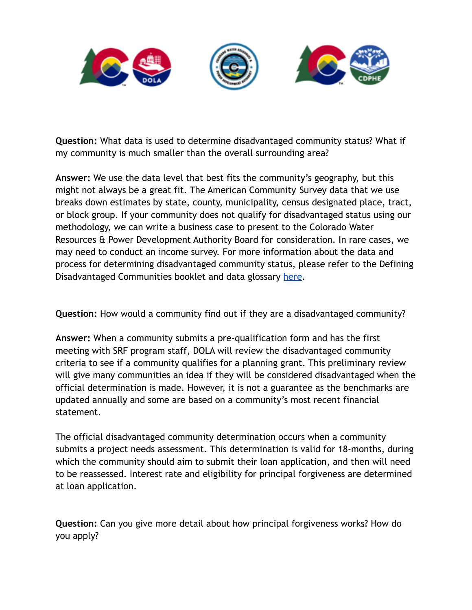

**Question:** What data is used to determine disadvantaged community status? What if my community is much smaller than the overall surrounding area?

**Answer:** We use the data level that best fits the community's geography, but this might not always be a great fit. The American Community Survey data that we use breaks down estimates by state, county, municipality, census designated place, tract, or block group. If your community does not qualify for disadvantaged status using our methodology, we can write a business case to present to the Colorado Water Resources & Power Development Authority Board for consideration. In rare cases, we may need to conduct an income survey. For more information about the data and process for determining disadvantaged community status, please refer to the Defining Disadvantaged Communities booklet and data glossary [here](https://cdphe.colorado.gov/water-quality/drinking-water-resources-for-water-systems/grants-and-loans/loans-srf/general-srf).

**Question:** How would a community find out if they are a disadvantaged community?

**Answer:** When a community submits a pre-qualification form and has the first meeting with SRF program staff, DOLA will review the disadvantaged community criteria to see if a community qualifies for a planning grant. This preliminary review will give many communities an idea if they will be considered disadvantaged when the official determination is made. However, it is not a guarantee as the benchmarks are updated annually and some are based on a community's most recent financial statement.

The official disadvantaged community determination occurs when a community submits a project needs assessment. This determination is valid for 18-months, during which the community should aim to submit their loan application, and then will need to be reassessed. Interest rate and eligibility for principal forgiveness are determined at loan application.

**Question:** Can you give more detail about how principal forgiveness works? How do you apply?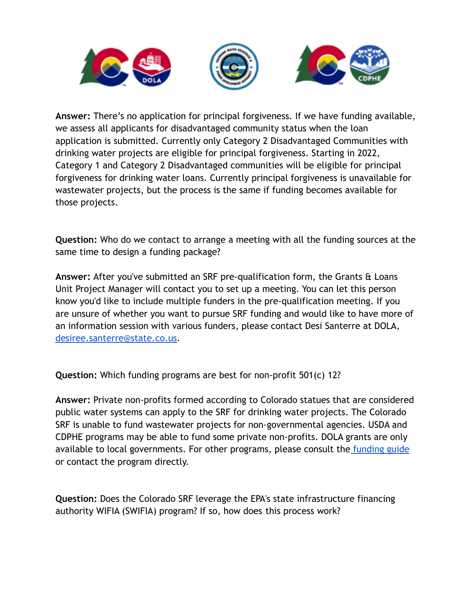

**Answer:** There's no application for principal forgiveness. If we have funding available, we assess all applicants for disadvantaged community status when the loan application is submitted. Currently only Category 2 Disadvantaged Communities with drinking water projects are eligible for principal forgiveness. Starting in 2022, Category 1 and Category 2 Disadvantaged communities will be eligible for principal forgiveness for drinking water loans. Currently principal forgiveness is unavailable for wastewater projects, but the process is the same if funding becomes available for those projects.

**Question:** Who do we contact to arrange a meeting with all the funding sources at the same time to design a funding package?

**Answer:** After you've submitted an SRF pre-qualification form, the Grants & Loans Unit Project Manager will contact you to set up a meeting. You can let this person know you'd like to include multiple funders in the pre-qualification meeting. If you are unsure of whether you want to pursue SRF funding and would like to have more of an information session with various funders, please contact Desi Santerre at DOLA, [desiree.santerre@state.co.us.](mailto:desiree.santerre@state.co.us)

**Question:** Which funding programs are best for non-profit 501(c) 12?

**Answer:** Private non-profits formed according to Colorado statues that are considered public water systems can apply to the SRF for drinking water projects. The Colorado SRF is unable to fund wastewater projects for non-governmental agencies. USDA and CDPHE programs may be able to fund some private non-profits. DOLA grants are only available to local governments. For other programs, please consult the [funding guide](https://drive.google.com/file/d/1mi4VNQhxjcDdRU5jUpgSwVinx5a7X6R1/view?usp=sharing&,authuser=0) or contact the program directly.

**Question:** Does the Colorado SRF leverage the EPA's state infrastructure financing authority WIFIA (SWIFIA) program? If so, how does this process work?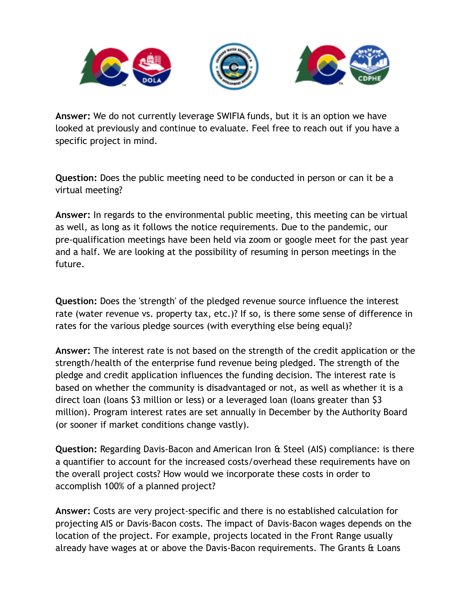

**Answer:** We do not currently leverage SWIFIA funds, but it is an option we have looked at previously and continue to evaluate. Feel free to reach out if you have a specific project in mind.

**Question:** Does the public meeting need to be conducted in person or can it be a virtual meeting?

**Answer:** In regards to the environmental public meeting, this meeting can be virtual as well, as long as it follows the notice requirements. Due to the pandemic, our pre-qualification meetings have been held via zoom or google meet for the past year and a half. We are looking at the possibility of resuming in person meetings in the future.

**Question:** Does the 'strength' of the pledged revenue source influence the interest rate (water revenue vs. property tax, etc.)? If so, is there some sense of difference in rates for the various pledge sources (with everything else being equal)?

**Answer:** The interest rate is not based on the strength of the credit application or the strength/health of the enterprise fund revenue being pledged. The strength of the pledge and credit application influences the funding decision. The interest rate is based on whether the community is disadvantaged or not, as well as whether it is a direct loan (loans \$3 million or less) or a leveraged loan (loans greater than \$3 million). Program interest rates are set annually in December by the Authority Board (or sooner if market conditions change vastly).

**Question:** Regarding Davis-Bacon and American Iron & Steel (AIS) compliance: is there a quantifier to account for the increased costs/overhead these requirements have on the overall project costs? How would we incorporate these costs in order to accomplish 100% of a planned project?

**Answer:** Costs are very project-specific and there is no established calculation for projecting AIS or Davis-Bacon costs. The impact of Davis-Bacon wages depends on the location of the project. For example, projects located in the Front Range usually already have wages at or above the Davis-Bacon requirements. The Grants & Loans